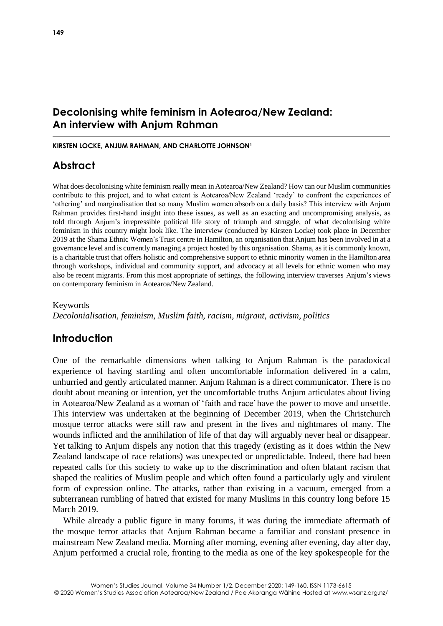## **Decolonising white feminism in Aotearoa/New Zealand: An interview with Anjum Rahman**

#### **KIRSTEN LOCKE, ANJUM RAHMAN, AND CHARLOTTE JOHNSON<sup>1</sup>**

# **Abstract**

What does decolonising white feminism really mean in Aotearoa/New Zealand? How can our Muslim communities contribute to this project, and to what extent is Aotearoa/New Zealand 'ready' to confront the experiences of 'othering' and marginalisation that so many Muslim women absorb on a daily basis? This interview with Anjum Rahman provides first-hand insight into these issues, as well as an exacting and uncompromising analysis, as told through Anjum's irrepressible political life story of triumph and struggle, of what decolonising white feminism in this country might look like. The interview (conducted by Kirsten Locke) took place in December 2019 at the Shama Ethnic Women's Trust centre in Hamilton, an organisation that Anjum has been involved in at a governance level and is currently managing a project hosted by this organisation. Shama, as it is commonly known, is a charitable trust that offers holistic and comprehensive support to ethnic minority women in the Hamilton area through workshops, individual and community support, and advocacy at all levels for ethnic women who may also be recent migrants. From this most appropriate of settings, the following interview traverses Anjum's views on contemporary feminism in Aotearoa/New Zealand.

Keywords

*Decolonialisation, feminism, Muslim faith, racism, migrant, activism, politics*

# **Introduction**

One of the remarkable dimensions when talking to Anjum Rahman is the paradoxical experience of having startling and often uncomfortable information delivered in a calm, unhurried and gently articulated manner. Anjum Rahman is a direct communicator. There is no doubt about meaning or intention, yet the uncomfortable truths Anjum articulates about living in Aotearoa/New Zealand as a woman of 'faith and race'have the power to move and unsettle. This interview was undertaken at the beginning of December 2019, when the Christchurch mosque terror attacks were still raw and present in the lives and nightmares of many. The wounds inflicted and the annihilation of life of that day will arguably never heal or disappear. Yet talking to Anjum dispels any notion that this tragedy (existing as it does within the New Zealand landscape of race relations) was unexpected or unpredictable. Indeed, there had been repeated calls for this society to wake up to the discrimination and often blatant racism that shaped the realities of Muslim people and which often found a particularly ugly and virulent form of expression online. The attacks, rather than existing in a vacuum, emerged from a subterranean rumbling of hatred that existed for many Muslims in this country long before 15 March 2019.

While already a public figure in many forums, it was during the immediate aftermath of the mosque terror attacks that Anjum Rahman became a familiar and constant presence in mainstream New Zealand media. Morning after morning, evening after evening, day after day, Anjum performed a crucial role, fronting to the media as one of the key spokespeople for the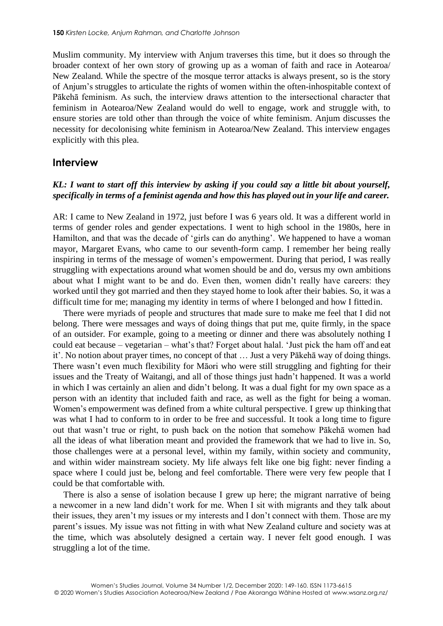Muslim community. My interview with Anjum traverses this time, but it does so through the broader context of her own story of growing up as a woman of faith and race in Aotearoa/ New Zealand. While the spectre of the mosque terror attacks is always present, so is the story of Anjum's struggles to articulate the rights of women within the often-inhospitable context of Pākehā feminism. As such, the interview draws attention to the intersectional character that feminism in Aotearoa/New Zealand would do well to engage, work and struggle with, to ensure stories are told other than through the voice of white feminism. Anjum discusses the necessity for decolonising white feminism in Aotearoa/New Zealand. This interview engages explicitly with this plea.

## **Interview**

## *KL: I want to start off this interview by asking if you could say a little bit about yourself, specifically in terms of a feminist agenda and how this has played out in your life and career.*

AR: I came to New Zealand in 1972, just before I was 6 years old. It was a different world in terms of gender roles and gender expectations. I went to high school in the 1980s, here in Hamilton, and that was the decade of 'girls can do anything'. We happened to have a woman mayor, Margaret Evans, who came to our seventh-form camp. I remember her being really inspiring in terms of the message of women's empowerment. During that period, I was really struggling with expectations around what women should be and do, versus my own ambitions about what I might want to be and do. Even then, women didn't really have careers: they worked until they got married and then they stayed home to look after their babies. So, it was a difficult time for me; managing my identity in terms of where I belonged and how I fittedin.

There were myriads of people and structures that made sure to make me feel that I did not belong. There were messages and ways of doing things that put me, quite firmly, in the space of an outsider. For example, going to a meeting or dinner and there was absolutely nothing I could eat because – vegetarian – what's that? Forget about halal. 'Just pick the ham off and eat it'. No notion about prayer times, no concept of that … Just a very Pākehā way of doing things. There wasn't even much flexibility for Māori who were still struggling and fighting for their issues and the Treaty of Waitangi, and all of those things just hadn't happened. It was a world in which I was certainly an alien and didn't belong. It was a dual fight for my own space as a person with an identity that included faith and race, as well as the fight for being a woman. Women's empowerment was defined from a white cultural perspective. I grew up thinking that was what I had to conform to in order to be free and successful. It took a long time to figure out that wasn't true or right, to push back on the notion that somehow Pākehā women had all the ideas of what liberation meant and provided the framework that we had to live in. So, those challenges were at a personal level, within my family, within society and community, and within wider mainstream society. My life always felt like one big fight: never finding a space where I could just be, belong and feel comfortable. There were very few people that I could be that comfortable with.

There is also a sense of isolation because I grew up here; the migrant narrative of being a newcomer in a new land didn't work for me. When I sit with migrants and they talk about their issues, they aren't my issues or my interests and I don't connect with them. Those are my parent's issues. My issue was not fitting in with what New Zealand culture and society was at the time, which was absolutely designed a certain way. I never felt good enough. I was struggling a lot of the time.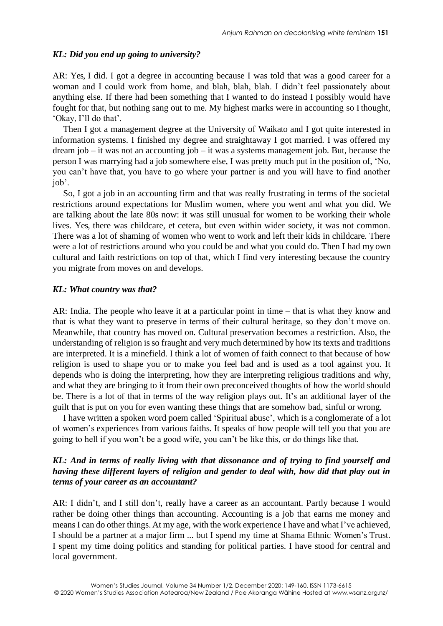#### *KL: Did you end up going to university?*

AR: Yes, I did. I got a degree in accounting because I was told that was a good career for a woman and I could work from home, and blah, blah, blah. I didn't feel passionately about anything else. If there had been something that I wanted to do instead I possibly would have fought for that, but nothing sang out to me. My highest marks were in accounting so I thought, 'Okay, I'll do that'.

Then I got a management degree at the University of Waikato and I got quite interested in information systems. I finished my degree and straightaway I got married. I was offered my dream job – it was not an accounting job – it was a systems management job. But, because the person I was marrying had a job somewhere else, I was pretty much put in the position of, 'No, you can't have that, you have to go where your partner is and you will have to find another job'.

So, I got a job in an accounting firm and that was really frustrating in terms of the societal restrictions around expectations for Muslim women, where you went and what you did. We are talking about the late 80s now: it was still unusual for women to be working their whole lives. Yes, there was childcare, et cetera, but even within wider society, it was not common. There was a lot of shaming of women who went to work and left their kids in childcare. There were a lot of restrictions around who you could be and what you could do. Then I had my own cultural and faith restrictions on top of that, which I find very interesting because the country you migrate from moves on and develops.

#### *KL: What country was that?*

AR: India. The people who leave it at a particular point in time – that is what they know and that is what they want to preserve in terms of their cultural heritage, so they don't move on. Meanwhile, that country has moved on. Cultural preservation becomes a restriction. Also, the understanding of religion isso fraught and very much determined by how its texts and traditions are interpreted. It is a minefield. I think a lot of women of faith connect to that because of how religion is used to shape you or to make you feel bad and is used as a tool against you. It depends who is doing the interpreting, how they are interpreting religious traditions and why, and what they are bringing to it from their own preconceived thoughts of how the world should be. There is a lot of that in terms of the way religion plays out. It's an additional layer of the guilt that is put on you for even wanting these things that are somehow bad, sinful or wrong.

I have written a spoken word poem called 'Spiritual abuse', which is a conglomerate of a lot of women's experiences from various faiths. It speaks of how people will tell you that you are going to hell if you won't be a good wife, you can't be like this, or do things like that.

## *KL: And in terms of really living with that dissonance and of trying to find yourself and having these different layers of religion and gender to deal with, how did that play out in terms of your career as an accountant?*

AR: I didn't, and I still don't, really have a career as an accountant. Partly because I would rather be doing other things than accounting. Accounting is a job that earns me money and meansI can do other things. At my age, with the work experience I have and what I've achieved, I should be a partner at a major firm ... but I spend my time at Shama Ethnic Women's Trust. I spent my time doing politics and standing for political parties. I have stood for central and local government.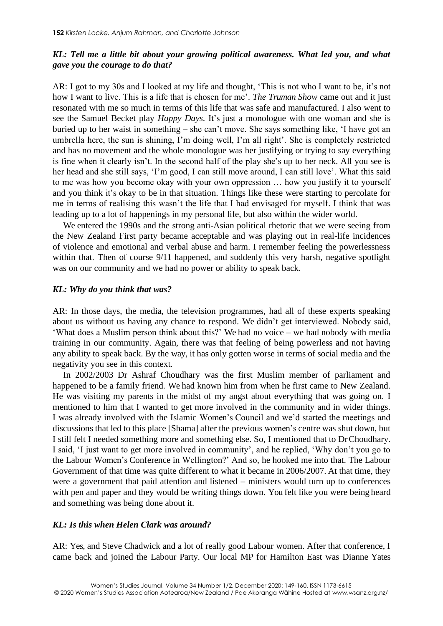## *KL: Tell me a little bit about your growing political awareness. What led you, and what gave you the courage to do that?*

AR: I got to my 30s and I looked at my life and thought, 'This is not who I want to be, it's not how I want to live. This is a life that is chosen for me'. *The Truman Show* came out and it just resonated with me so much in terms of this life that was safe and manufactured. I also went to see the Samuel Becket play *Happy Days*. It's just a monologue with one woman and she is buried up to her waist in something – she can't move. She says something like, 'I have got an umbrella here, the sun is shining, I'm doing well, I'm all right'. She is completely restricted and has no movement and the whole monologue was her justifying or trying to say everything is fine when it clearly isn't. In the second half of the play she's up to her neck. All you see is her head and she still says, 'I'm good, I can still move around, I can still love'. What this said to me was how you become okay with your own oppression … how you justify it to yourself and you think it's okay to be in that situation. Things like these were starting to percolate for me in terms of realising this wasn't the life that I had envisaged for myself. I think that was leading up to a lot of happenings in my personal life, but also within the wider world.

We entered the 1990s and the strong anti-Asian political rhetoric that we were seeing from the New Zealand First party became acceptable and was playing out in real-life incidences of violence and emotional and verbal abuse and harm. I remember feeling the powerlessness within that. Then of course 9/11 happened, and suddenly this very harsh, negative spotlight was on our community and we had no power or ability to speak back.

## *KL: Why do you think that was?*

AR: In those days, the media, the television programmes, had all of these experts speaking about us without us having any chance to respond. We didn't get interviewed. Nobody said, 'What does a Muslim person think about this?' We had no voice – we had nobody with media training in our community. Again, there was that feeling of being powerless and not having any ability to speak back. By the way, it has only gotten worse in terms of social media and the negativity you see in this context.

In 2002/2003 Dr Ashraf Choudhary was the first Muslim member of parliament and happened to be a family friend. We had known him from when he first came to New Zealand. He was visiting my parents in the midst of my angst about everything that was going on. I mentioned to him that I wanted to get more involved in the community and in wider things. I was already involved with the Islamic Women's Council and we'd started the meetings and discussions that led to this place [Shama] after the previous women's centre was shut down, but I still felt I needed something more and something else. So, I mentioned that to DrChoudhary. I said, 'I just want to get more involved in community', and he replied, 'Why don't you go to the Labour Women's Conference in Wellington?' And so, he hooked me into that. The Labour Government of that time was quite different to what it became in 2006/2007. At that time, they were a government that paid attention and listened – ministers would turn up to conferences with pen and paper and they would be writing things down. You felt like you were being heard and something was being done about it.

## *KL: Is this when Helen Clark was around?*

AR: Yes, and Steve Chadwick and a lot of really good Labour women. After that conference, I came back and joined the Labour Party. Our local MP for Hamilton East was Dianne Yates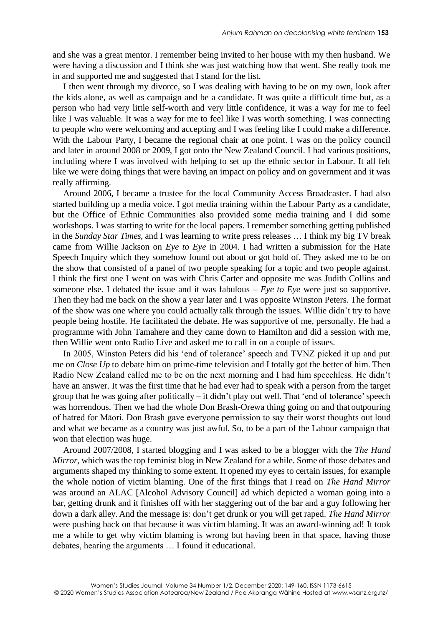and she was a great mentor. I remember being invited to her house with my then husband. We were having a discussion and I think she was just watching how that went. She really took me in and supported me and suggested that I stand for the list.

I then went through my divorce, so I was dealing with having to be on my own, look after the kids alone, as well as campaign and be a candidate. It was quite a difficult time but, as a person who had very little self-worth and very little confidence, it was a way for me to feel like I was valuable. It was a way for me to feel like I was worth something. I was connecting to people who were welcoming and accepting and I was feeling like I could make a difference. With the Labour Party, I became the regional chair at one point. I was on the policy council and later in around 2008 or 2009, I got onto the New Zealand Council. I had various positions, including where I was involved with helping to set up the ethnic sector in Labour. It all felt like we were doing things that were having an impact on policy and on government and it was really affirming.

Around 2006, I became a trustee for the local Community Access Broadcaster. I had also started building up a media voice. I got media training within the Labour Party as a candidate, but the Office of Ethnic Communities also provided some media training and I did some workshops. I was starting to write for the local papers. I remember something getting published in the *Sunday Star Times*, and I was learning to write press releases … I think my big TV break came from Willie Jackson on *Eye to Eye* in 2004. I had written a submission for the Hate Speech Inquiry which they somehow found out about or got hold of. They asked me to be on the show that consisted of a panel of two people speaking for a topic and two people against. I think the first one I went on was with Chris Carter and opposite me was Judith Collins and someone else. I debated the issue and it was fabulous – *Eye to Eye* were just so supportive. Then they had me back on the show a year later and I was opposite Winston Peters. The format of the show was one where you could actually talk through the issues. Willie didn't try to have people being hostile. He facilitated the debate. He was supportive of me, personally. He had a programme with John Tamahere and they came down to Hamilton and did a session with me, then Willie went onto Radio Live and asked me to call in on a couple of issues.

In 2005, Winston Peters did his 'end of tolerance' speech and TVNZ picked it up and put me on *Close Up* to debate him on prime-time television and I totally got the better of him. Then Radio New Zealand called me to be on the next morning and I had him speechless. He didn't have an answer. It was the first time that he had ever had to speak with a person from the target group that he was going after politically – it didn't play out well. That 'end of tolerance'speech was horrendous. Then we had the whole Don Brash-Orewa thing going on and that outpouring of hatred for Māori. Don Brash gave everyone permission to say their worst thoughts out loud and what we became as a country was just awful. So, to be a part of the Labour campaign that won that election was huge.

Around 2007/2008, I started blogging and I was asked to be a blogger with the *The Hand Mirror*, which was the top feminist blog in New Zealand for a while. Some of those debates and arguments shaped my thinking to some extent. It opened my eyes to certain issues, for example the whole notion of victim blaming. One of the first things that I read on *The Hand Mirror*  was around an ALAC [Alcohol Advisory Council] ad which depicted a woman going into a bar, getting drunk and it finishes off with her staggering out of the bar and a guy following her down a dark alley. And the message is: don't get drunk or you will get raped. *The Hand Mirror*  were pushing back on that because it was victim blaming. It was an award-winning ad! It took me a while to get why victim blaming is wrong but having been in that space, having those debates, hearing the arguments … I found it educational.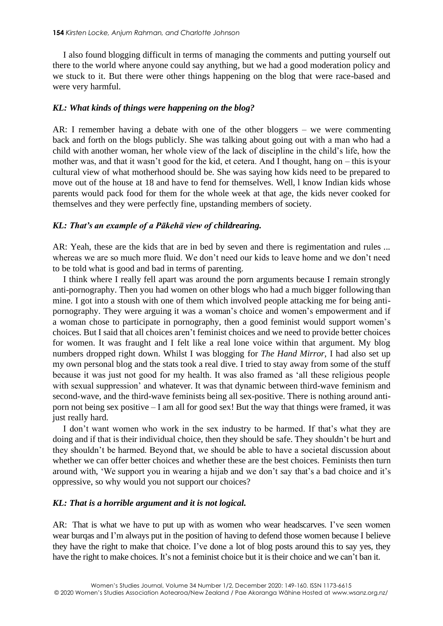I also found blogging difficult in terms of managing the comments and putting yourself out there to the world where anyone could say anything, but we had a good moderation policy and we stuck to it. But there were other things happening on the blog that were race-based and were very harmful.

## *KL: What kinds of things were happening on the blog?*

AR: I remember having a debate with one of the other bloggers – we were commenting back and forth on the blogs publicly. She was talking about going out with a man who had a child with another woman, her whole view of the lack of discipline in the child's life, how the mother was, and that it wasn't good for the kid, et cetera. And I thought, hang on – this is your cultural view of what motherhood should be. She was saying how kids need to be prepared to move out of the house at 18 and have to fend for themselves. Well, l know Indian kids whose parents would pack food for them for the whole week at that age, the kids never cooked for themselves and they were perfectly fine, upstanding members of society.

### *KL: That's an example of a Pākehā view of childrearing.*

AR: Yeah, these are the kids that are in bed by seven and there is regimentation and rules ... whereas we are so much more fluid. We don't need our kids to leave home and we don't need to be told what is good and bad in terms of parenting.

I think where I really fell apart was around the porn arguments because I remain strongly anti-pornography. Then you had women on other blogs who had a much bigger following than mine. I got into a stoush with one of them which involved people attacking me for being antipornography. They were arguing it was a woman's choice and women's empowerment and if a woman chose to participate in pornography, then a good feminist would support women's choices. But I said that all choices aren't feminist choices and we need to provide better choices for women. It was fraught and I felt like a real lone voice within that argument. My blog numbers dropped right down. Whilst I was blogging for *The Hand Mirror*, I had also set up my own personal blog and the stats took a real dive. I tried to stay away from some of the stuff because it was just not good for my health. It was also framed as 'all these religious people with sexual suppression' and whatever. It was that dynamic between third-wave feminism and second-wave, and the third-wave feminists being all sex-positive. There is nothing around antiporn not being sex positive – I am all for good sex! But the way that things were framed, it was just really hard.

I don't want women who work in the sex industry to be harmed. If that's what they are doing and if that is their individual choice, then they should be safe. They shouldn't be hurt and they shouldn't be harmed. Beyond that, we should be able to have a societal discussion about whether we can offer better choices and whether these are the best choices. Feminists then turn around with, 'We support you in wearing a hijab and we don't say that's a bad choice and it's oppressive, so why would you not support our choices?

#### *KL: That is a horrible argument and it is not logical.*

AR: That is what we have to put up with as women who wear headscarves. I've seen women wear burqas and I'm always put in the position of having to defend those women because I believe they have the right to make that choice. I've done a lot of blog posts around this to say yes, they have the right to make choices. It's not a feminist choice but it is their choice and we can't ban it.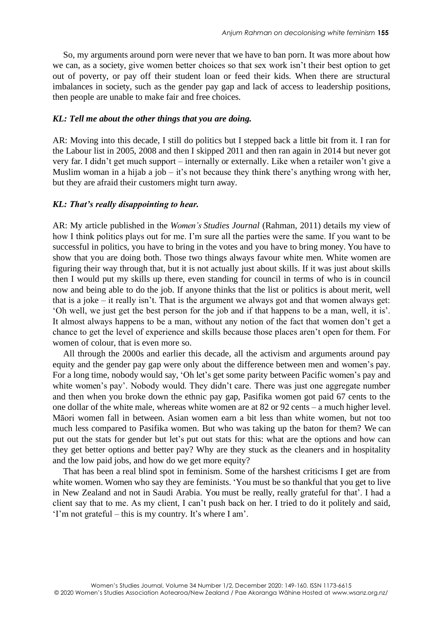So, my arguments around porn were never that we have to ban porn. It was more about how we can, as a society, give women better choices so that sex work isn't their best option to get out of poverty, or pay off their student loan or feed their kids. When there are structural imbalances in society, such as the gender pay gap and lack of access to leadership positions, then people are unable to make fair and free choices.

#### *KL: Tell me about the other things that you are doing.*

AR: Moving into this decade, I still do politics but I stepped back a little bit from it. I ran for the Labour list in 2005, 2008 and then I skipped 2011 and then ran again in 2014 but never got very far. I didn't get much support – internally or externally. Like when a retailer won't give a Muslim woman in a hijab a job – it's not because they think there's anything wrong with her, but they are afraid their customers might turn away.

## *KL: That's really disappointing to hear.*

AR: My article published in the *Women's Studies Journal* (Rahman, 2011) details my view of how I think politics plays out for me. I'm sure all the parties were the same. If you want to be successful in politics, you have to bring in the votes and you have to bring money. You have to show that you are doing both. Those two things always favour white men. White women are figuring their way through that, but it is not actually just about skills. If it was just about skills then I would put my skills up there, even standing for council in terms of who is in council now and being able to do the job. If anyone thinks that the list or politics is about merit, well that is a joke – it really isn't. That is the argument we always got and that women always get: 'Oh well, we just get the best person for the job and if that happens to be a man, well, it is'. It almost always happens to be a man, without any notion of the fact that women don't get a chance to get the level of experience and skills because those places aren't open for them. For women of colour, that is even more so.

All through the 2000s and earlier this decade, all the activism and arguments around pay equity and the gender pay gap were only about the difference between men and women's pay. For a long time, nobody would say, 'Oh let's get some parity between Pacific women's pay and white women's pay'. Nobody would. They didn't care. There was just one aggregate number and then when you broke down the ethnic pay gap, Pasifika women got paid 67 cents to the one dollar of the white male, whereas white women are at 82 or 92 cents – a much higher level. Māori women fall in between. Asian women earn a bit less than white women, but not too much less compared to Pasifika women. But who was taking up the baton for them? We can put out the stats for gender but let's put out stats for this: what are the options and how can they get better options and better pay? Why are they stuck as the cleaners and in hospitality and the low paid jobs, and how do we get more equity?

That has been a real blind spot in feminism. Some of the harshest criticisms I get are from white women. Women who say they are feminists. 'You must be so thankful that you get to live in New Zealand and not in Saudi Arabia. You must be really, really grateful for that'. I had a client say that to me. As my client, I can't push back on her. I tried to do it politely and said, 'I'm not grateful – this is my country. It's where I am'.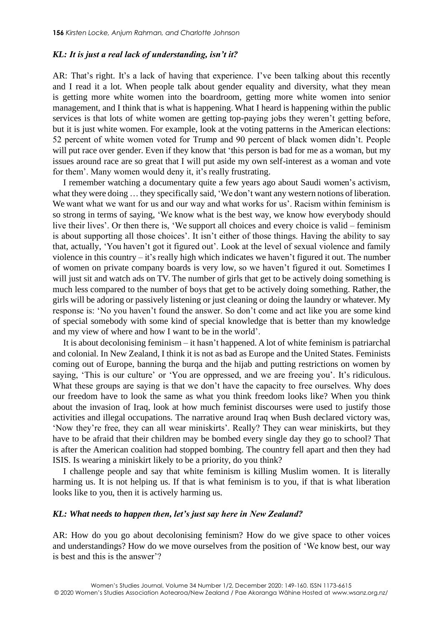#### *KL: It is just a real lack of understanding, isn't it?*

AR: That's right. It's a lack of having that experience. I've been talking about this recently and I read it a lot. When people talk about gender equality and diversity, what they mean is getting more white women into the boardroom, getting more white women into senior management, and I think that is what is happening. What I heard is happening within the public services is that lots of white women are getting top-paying jobs they weren't getting before, but it is just white women. For example, look at the voting patterns in the American elections: 52 percent of white women voted for Trump and 90 percent of black women didn't. People will put race over gender. Even if they know that 'this person is bad for me as a woman, but my issues around race are so great that I will put aside my own self-interest as a woman and vote for them'. Many women would deny it, it's really frustrating.

I remember watching a documentary quite a few years ago about Saudi women's activism, what they were doing ... they specifically said, 'We don't want any western notions of liberation. We want what we want for us and our way and what works for us'. Racism within feminism is so strong in terms of saying, 'We know what is the best way, we know how everybody should live their lives'. Or then there is, 'We support all choices and every choice is valid – feminism is about supporting all those choices'. It isn't either of those things. Having the ability to say that, actually, 'You haven't got it figured out'. Look at the level of sexual violence and family violence in this country – it's really high which indicates we haven't figured it out. The number of women on private company boards is very low, so we haven't figured it out. Sometimes I will just sit and watch ads on TV. The number of girls that get to be actively doing something is much less compared to the number of boys that get to be actively doing something. Rather, the girls will be adoring or passively listening or just cleaning or doing the laundry or whatever. My response is: 'No you haven't found the answer. So don't come and act like you are some kind of special somebody with some kind of special knowledge that is better than my knowledge and my view of where and how I want to be in the world'.

It is about decolonising feminism – it hasn't happened. A lot of white feminism is patriarchal and colonial. In New Zealand, I think it is not as bad as Europe and the United States. Feminists coming out of Europe, banning the burqa and the hijab and putting restrictions on women by saying, 'This is our culture' or 'You are oppressed, and we are freeing you'. It's ridiculous. What these groups are saying is that we don't have the capacity to free ourselves. Why does our freedom have to look the same as what you think freedom looks like? When you think about the invasion of Iraq, look at how much feminist discourses were used to justify those activities and illegal occupations. The narrative around Iraq when Bush declared victory was, 'Now they're free, they can all wear miniskirts'. Really? They can wear miniskirts, but they have to be afraid that their children may be bombed every single day they go to school? That is after the American coalition had stopped bombing. The country fell apart and then they had ISIS. Is wearing a miniskirt likely to be a priority, do you think?

I challenge people and say that white feminism is killing Muslim women. It is literally harming us. It is not helping us. If that is what feminism is to you, if that is what liberation looks like to you, then it is actively harming us.

## *KL: What needs to happen then, let's just say here in New Zealand?*

AR: How do you go about decolonising feminism? How do we give space to other voices and understandings? How do we move ourselves from the position of 'We know best, our way is best and this is the answer'?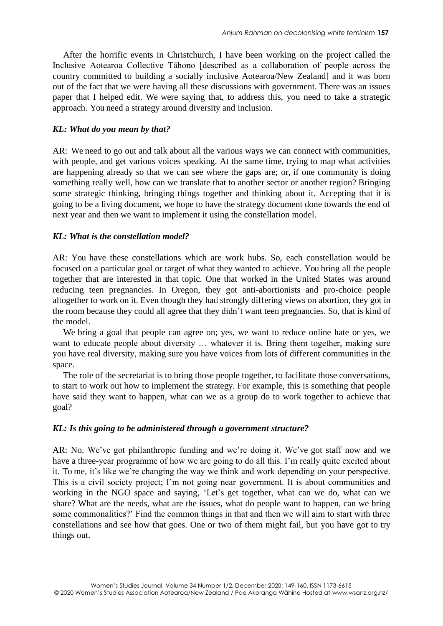After the horrific events in Christchurch, I have been working on the project called the Inclusive Aotearoa Collective Tāhono [described as a collaboration of people across the country committed to building a socially inclusive Aotearoa/New Zealand] and it was born out of the fact that we were having all these discussions with government. There was an issues paper that I helped edit. We were saying that, to address this, you need to take a strategic approach. You need a strategy around diversity and inclusion.

## *KL: What do you mean by that?*

AR: We need to go out and talk about all the various ways we can connect with communities, with people, and get various voices speaking. At the same time, trying to map what activities are happening already so that we can see where the gaps are; or, if one community is doing something really well, how can we translate that to another sector or another region? Bringing some strategic thinking, bringing things together and thinking about it. Accepting that it is going to be a living document, we hope to have the strategy document done towards the end of next year and then we want to implement it using the constellation model.

## *KL: What is the constellation model?*

AR: You have these constellations which are work hubs. So, each constellation would be focused on a particular goal or target of what they wanted to achieve. You bring all the people together that are interested in that topic. One that worked in the United States was around reducing teen pregnancies. In Oregon, they got anti-abortionists and pro-choice people altogether to work on it. Even though they had strongly differing views on abortion, they got in the room because they could all agree that they didn't want teen pregnancies. So, that is kind of the model.

We bring a goal that people can agree on; yes, we want to reduce online hate or yes, we want to educate people about diversity … whatever it is. Bring them together, making sure you have real diversity, making sure you have voices from lots of different communities in the space.

The role of the secretariat is to bring those people together, to facilitate those conversations, to start to work out how to implement the strategy. For example, this is something that people have said they want to happen, what can we as a group do to work together to achieve that goal?

## *KL: Is this going to be administered through a government structure?*

AR: No. We've got philanthropic funding and we're doing it. We've got staff now and we have a three-year programme of how we are going to do all this. I'm really quite excited about it. To me, it's like we're changing the way we think and work depending on your perspective. This is a civil society project; I'm not going near government. It is about communities and working in the NGO space and saying, 'Let's get together, what can we do, what can we share? What are the needs, what are the issues, what do people want to happen, can we bring some commonalities?' Find the common things in that and then we will aim to start with three constellations and see how that goes. One or two of them might fail, but you have got to try things out.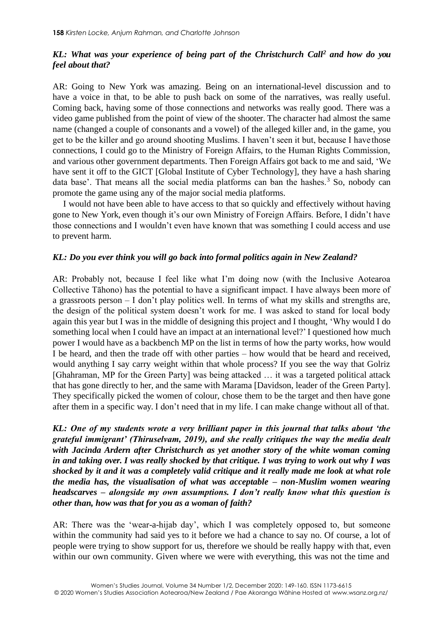## *KL: What was your experience of being part of the Christchurch Call<sup>2</sup> and how do you feel about that?*

AR: Going to New York was amazing. Being on an international-level discussion and to have a voice in that, to be able to push back on some of the narratives, was really useful. Coming back, having some of those connections and networks was really good. There was a video game published from the point of view of the shooter. The character had almost the same name (changed a couple of consonants and a vowel) of the alleged killer and, in the game, you get to be the killer and go around shooting Muslims. I haven't seen it but, because I have those connections, I could go to the Ministry of Foreign Affairs, to the Human Rights Commission, and various other government departments. Then Foreign Affairs got back to me and said, 'We have sent it off to the GICT [Global Institute of Cyber Technology], they have a hash sharing data base'. That means all the social media platforms can ban the hashes. $3$  So, nobody can promote the game using any of the major social media platforms.

I would not have been able to have access to that so quickly and effectively without having gone to New York, even though it's our own Ministry of Foreign Affairs. Before, I didn't have those connections and I wouldn't even have known that was something I could access and use to prevent harm.

## *KL: Do you ever think you will go back into formal politics again in New Zealand?*

AR: Probably not, because I feel like what I'm doing now (with the Inclusive Aotearoa Collective Tāhono) has the potential to have a significant impact. I have always been more of a grassroots person – I don't play politics well. In terms of what my skills and strengths are, the design of the political system doesn't work for me. I was asked to stand for local body again this year but I was in the middle of designing this project and I thought, 'Why would I do something local when I could have an impact at an international level?' I questioned how much power I would have as a backbench MP on the list in terms of how the party works, how would I be heard, and then the trade off with other parties – how would that be heard and received, would anything I say carry weight within that whole process? If you see the way that Golriz [Ghahraman, MP for the Green Party] was being attacked … it was a targeted political attack that has gone directly to her, and the same with Marama [Davidson, leader of the Green Party]. They specifically picked the women of colour, chose them to be the target and then have gone after them in a specific way. I don't need that in my life. I can make change without all of that.

*KL: One of my students wrote a very brilliant paper in this journal that talks about 'the grateful immigrant' (Thiruselvam, 2019), and she really critiques the way the media dealt with Jacinda Ardern after Christchurch as yet another story of the white woman coming in and taking over. I was really shocked by that critique. I was trying to work out why I was shocked by it and it was a completely valid critique and it really made me look at what role the media has, the visualisation of what was acceptable – non-Muslim women wearing headscarves – alongside my own assumptions. I don't really know what this question is other than, how was that for you as a woman of faith?*

AR: There was the 'wear-a-hijab day', which I was completely opposed to, but someone within the community had said yes to it before we had a chance to say no. Of course, a lot of people were trying to show support for us, therefore we should be really happy with that, even within our own community. Given where we were with everything, this was not the time and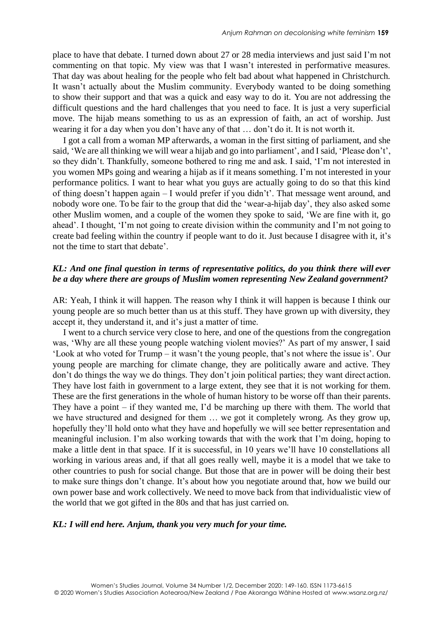place to have that debate. I turned down about 27 or 28 media interviews and just said I'm not commenting on that topic. My view was that I wasn't interested in performative measures. That day was about healing for the people who felt bad about what happened in Christchurch. It wasn't actually about the Muslim community. Everybody wanted to be doing something to show their support and that was a quick and easy way to do it. You are not addressing the difficult questions and the hard challenges that you need to face. It is just a very superficial move. The hijab means something to us as an expression of faith, an act of worship. Just wearing it for a day when you don't have any of that … don't do it. It is not worth it.

I got a call from a woman MP afterwards, a woman in the first sitting of parliament, and she said, 'We are all thinking we will wear a hijab and go into parliament', and I said, 'Please don't', so they didn't. Thankfully, someone bothered to ring me and ask. I said, 'I'm not interested in you women MPs going and wearing a hijab as if it means something. I'm not interested in your performance politics. I want to hear what you guys are actually going to do so that this kind of thing doesn't happen again – I would prefer if you didn't'. That message went around, and nobody wore one. To be fair to the group that did the 'wear-a-hijab day', they also asked some other Muslim women, and a couple of the women they spoke to said, 'We are fine with it, go ahead'. I thought, 'I'm not going to create division within the community and I'm not going to create bad feeling within the country if people want to do it. Just because I disagree with it, it's not the time to start that debate'.

## *KL: And one final question in terms of representative politics, do you think there will ever be a day where there are groups of Muslim women representing New Zealand government?*

AR: Yeah, I think it will happen. The reason why I think it will happen is because I think our young people are so much better than us at this stuff. They have grown up with diversity, they accept it, they understand it, and it's just a matter of time.

I went to a church service very close to here, and one of the questions from the congregation was, 'Why are all these young people watching violent movies?' As part of my answer, I said 'Look at who voted for Trump – it wasn't the young people, that's not where the issue is'. Our young people are marching for climate change, they are politically aware and active. They don't do things the way we do things. They don't join political parties; they want direct action. They have lost faith in government to a large extent, they see that it is not working for them. These are the first generations in the whole of human history to be worse off than their parents. They have a point – if they wanted me, I'd be marching up there with them. The world that we have structured and designed for them … we got it completely wrong. As they grow up, hopefully they'll hold onto what they have and hopefully we will see better representation and meaningful inclusion. I'm also working towards that with the work that I'm doing, hoping to make a little dent in that space. If it is successful, in 10 years we'll have 10 constellations all working in various areas and, if that all goes really well, maybe it is a model that we take to other countries to push for social change. But those that are in power will be doing their best to make sure things don't change. It's about how you negotiate around that, how we build our own power base and work collectively. We need to move back from that individualistic view of the world that we got gifted in the 80s and that has just carried on.

#### *KL: I will end here. Anjum, thank you very much for your time.*